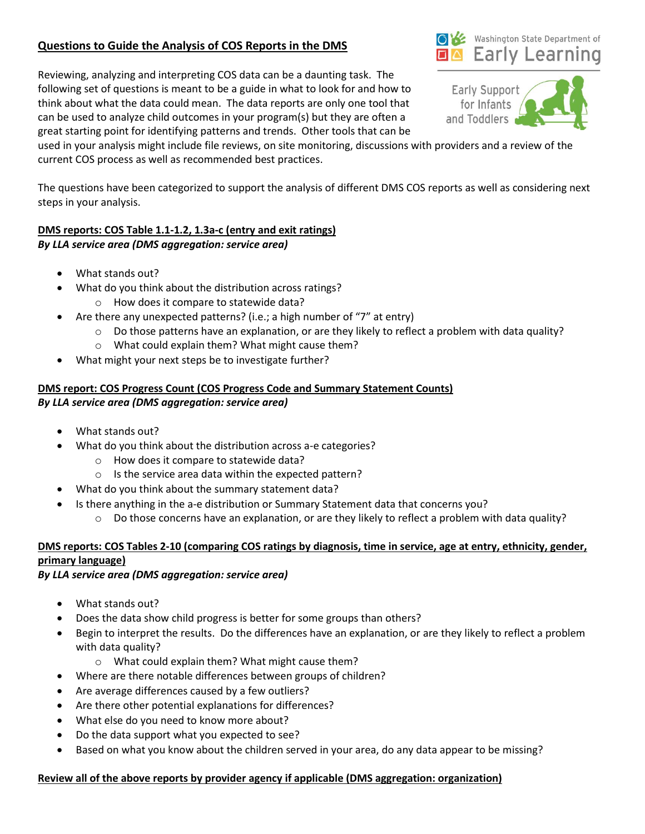# **Questions to Guide the Analysis of COS Reports in the DMS**

Reviewing, analyzing and interpreting COS data can be a daunting task. The following set of questions is meant to be a guide in what to look for and how to think about what the data could mean. The data reports are only one tool that can be used to analyze child outcomes in your program(s) but they are often a great starting point for identifying patterns and trends. Other tools that can be

used in your analysis might include file reviews, on site monitoring, discussions with providers and a review of the current COS process as well as recommended best practices.

The questions have been categorized to support the analysis of different DMS COS reports as well as considering next steps in your analysis.

## **DMS reports: COS Table 1.1-1.2, 1.3a-c (entry and exit ratings)** *By LLA service area (DMS aggregation: service area)*

- What stands out?
- What do you think about the distribution across ratings?
	- o How does it compare to statewide data?
- Are there any unexpected patterns? (i.e.; a high number of "7" at entry)
	- $\circ$  Do those patterns have an explanation, or are they likely to reflect a problem with data quality?
	- o What could explain them? What might cause them?
- What might your next steps be to investigate further?

### **DMS report: COS Progress Count (COS Progress Code and Summary Statement Counts)** *By LLA service area (DMS aggregation: service area)*

- What stands out?
- What do you think about the distribution across a-e categories?
	- o How does it compare to statewide data?
	- o Is the service area data within the expected pattern?
- What do you think about the summary statement data?
- Is there anything in the a-e distribution or Summary Statement data that concerns you?
	- $\circ$  Do those concerns have an explanation, or are they likely to reflect a problem with data quality?

### **DMS reports: COS Tables 2-10 (comparing COS ratings by diagnosis, time in service, age at entry, ethnicity, gender, primary language)**

#### *By LLA service area (DMS aggregation: service area)*

- What stands out?
- Does the data show child progress is better for some groups than others?
- Begin to interpret the results. Do the differences have an explanation, or are they likely to reflect a problem with data quality?
	- o What could explain them? What might cause them?
- Where are there notable differences between groups of children?
- Are average differences caused by a few outliers?
- Are there other potential explanations for differences?
- What else do you need to know more about?
- Do the data support what you expected to see?
- Based on what you know about the children served in your area, do any data appear to be missing?

## **Review all of the above reports by provider agency if applicable (DMS aggregation: organization)**



Washington State Department of